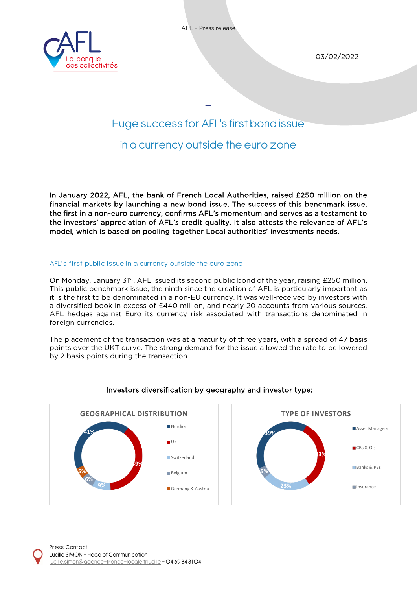



03/02/2022

# Huge success for AFL's first bond issue in a currency outside the euro zone

 $\overline{a}$ 

 $\overline{a}$ 

In January 2022, AFL, the bank of French Local Authorities, raised £250 million on the financial markets by launching a new bond issue. The success of this benchmark issue, the first in a non-euro currency, confirms AFL's momentum and serves as a testament to the investors' appreciation of AFL's credit quality. It also attests the relevance of AFL's model, which is based on pooling together Local authorities' investments needs.

## AFL's first public issue in a currency outside the euro zone

On Monday, January 31<sup>st</sup>, AFL issued its second public bond of the year, raising £250 million. This public benchmark issue, the ninth since the creation of AFL is particularly important as it is the first to be denominated in a non-EU currency. It was well-received by investors with a diversified book in excess of £440 million, and nearly 20 accounts from various sources. AFL hedges against Euro its currency risk associated with transactions denominated in foreign currencies.

The placement of the transaction was at a maturity of three years, with a spread of 47 basis points over the UKT curve. The strong demand for the issue allowed the rate to be lowered by 2 basis points during the transaction.



## Investors diversification by geography and investor type: